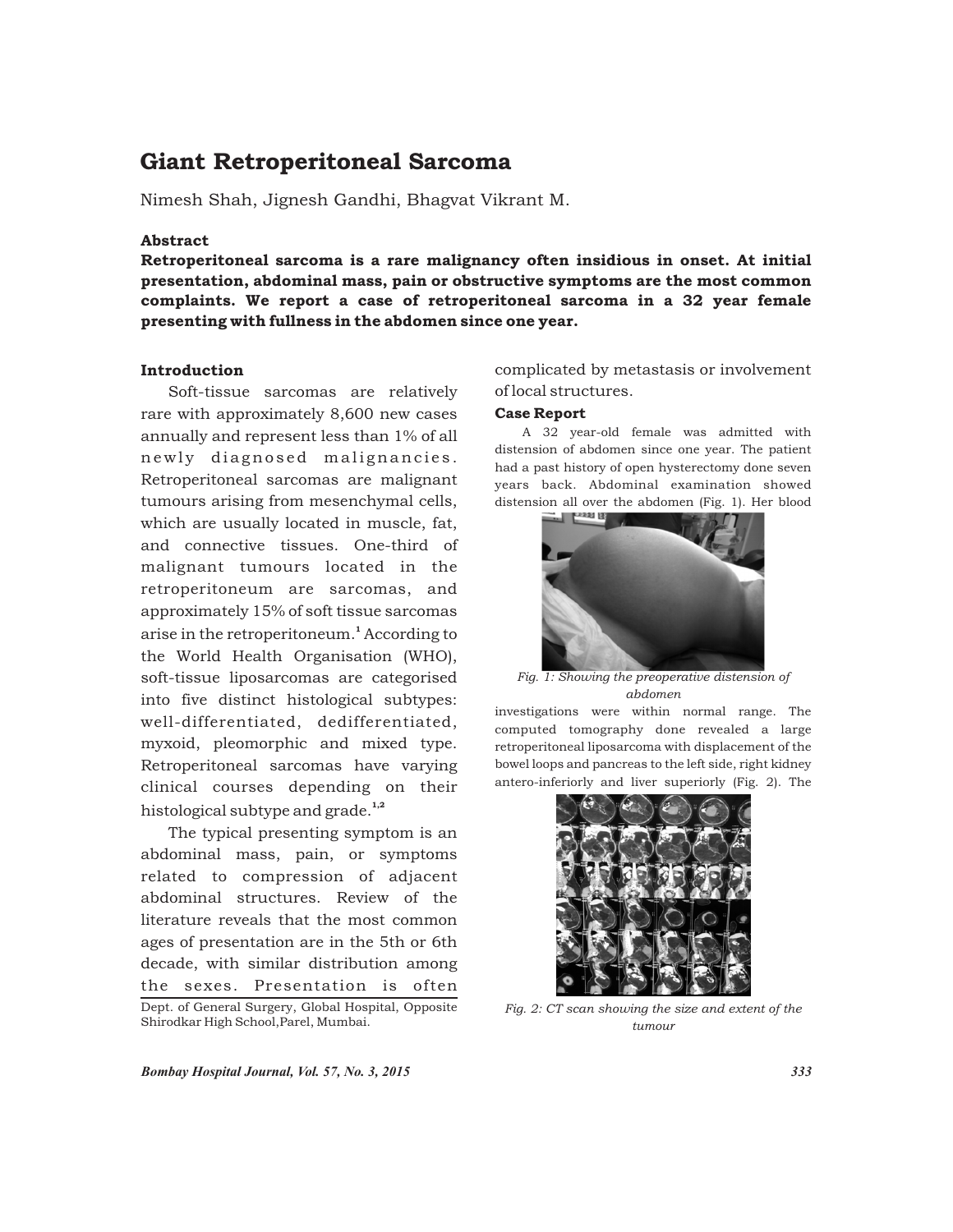# Giant Retroperitoneal Sarcoma

Nimesh Shah, Jignesh Gandhi, Bhagvat Vikrant M.

## Abstract

Retroperitoneal sarcoma is a rare malignancy often insidious in onset. At initial presentation, abdominal mass, pain or obstructive symptoms are the most common complaints. We report a case of retroperitoneal sarcoma in a 32 year female presenting with fullness in the abdomen since one year.

## Introduction

Soft-tissue sarcomas are relatively rare with approximately 8,600 new cases annually and represent less than 1% of all newly diagnosed malignancies. Retroperitoneal sarcomas are malignant tumours arising from mesenchymal cells, which are usually located in muscle, fat, and connective tissues. One-third of malignant tumours located in the retroperitoneum are sarcomas, and approximately 15% of soft tissue sarcomas arise in the retroperitoneum.<sup>1</sup> According to the World Health Organisation (WHO), soft-tissue liposarcomas are categorised into five distinct histological subtypes: well-differentiated, dedifferentiated, myxoid, pleomorphic and mixed type. Retroperitoneal sarcomas have varying clinical courses depending on their histological subtype and grade. $1,2$ 

The typical presenting symptom is an abdominal mass, pain, or symptoms related to compression of adjacent abdominal structures. Review of the literature reveals that the most common ages of presentation are in the 5th or 6th decade, with similar distribution among the sexes. Presentation is often Dept. of General Surgery, Global Hospital, Opposite

complicated by metastasis or involvement of local structures.

## Case Report

A 32 year-old female was admitted with distension of abdomen since one year. The patient had a past history of open hysterectomy done seven years back. Abdominal examination showed distension all over the abdomen (Fig. 1). Her blood



*Fig. 1: Showing the preoperative distension of abdomen*

investigations were within normal range. The computed tomography done revealed a large retroperitoneal liposarcoma with displacement of the bowel loops and pancreas to the left side, right kidney antero-inferiorly and liver superiorly (Fig. 2). The



*Fig. 2: CT scan showing the size and extent of the tumour*

*Bombay Hospital Journal, Vol. 57, No. 3, 2015 333*

Shirodkar High School,Parel, Mumbai.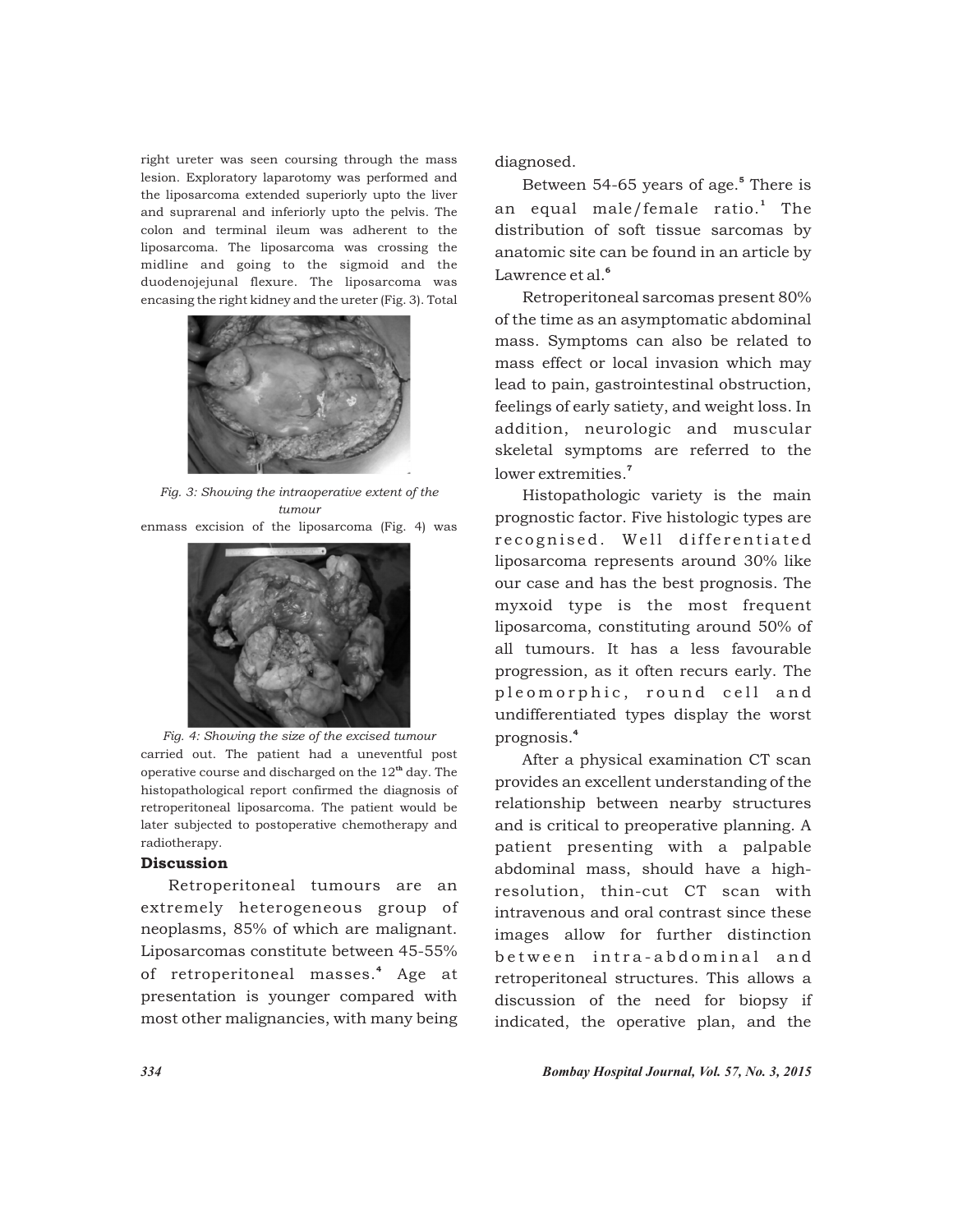right ureter was seen coursing through the mass lesion. Exploratory laparotomy was performed and the liposarcoma extended superiorly upto the liver and suprarenal and inferiorly upto the pelvis. The colon and terminal ileum was adherent to the liposarcoma. The liposarcoma was crossing the midline and going to the sigmoid and the duodenojejunal flexure. The liposarcoma was encasing the right kidney and the ureter (Fig. 3). Total



*Fig. 3: Showing the intraoperative extent of the tumour* enmass excision of the liposarcoma (Fig. 4) was



*Fig. 4: Showing the size of the excised tumour* carried out. The patient had a uneventful post operative course and discharged on the  $12<sup>th</sup>$  day. The histopathological report confirmed the diagnosis of retroperitoneal liposarcoma. The patient would be later subjected to postoperative chemotherapy and radiotherapy.

# Discussion

Retroperitoneal tumours are an extremely heterogeneous group of neoplasms, 85% of which are malignant. Liposarcomas constitute between 45-55% of retroperitoneal masses.<sup>4</sup> Age at presentation is younger compared with most other malignancies, with many being diagnosed.

Between 54-65 years of age.<sup>5</sup> There is an equal male/female ratio.<sup>1</sup> The distribution of soft tissue sarcomas by anatomic site can be found in an article by Lawrence et al.<sup>6</sup>

Retroperitoneal sarcomas present 80% of the time as an asymptomatic abdominal mass. Symptoms can also be related to mass effect or local invasion which may lead to pain, gastrointestinal obstruction, feelings of early satiety, and weight loss. In addition, neurologic and muscular skeletal symptoms are referred to the lower extremities.<sup>7</sup>

Histopathologic variety is the main prognostic factor. Five histologic types are recognised. Well differentiated liposarcoma represents around 30% like our case and has the best prognosis. The myxoid type is the most frequent liposarcoma, constituting around 50% of all tumours. It has a less favourable progression, as it often recurs early. The pleomorphic, round cell and undifferentiated types display the worst 4 prognosis.

After a physical examination CT scan provides an excellent understanding of the relationship between nearby structures and is critical to preoperative planning. A patient presenting with a palpable abdominal mass, should have a highresolution, thin-cut CT scan with intravenous and oral contrast since these images allow for further distinction between intra-abdominal and retroperitoneal structures. This allows a discussion of the need for biopsy if indicated, the operative plan, and the

*334 Bombay Hospital Journal, Vol. 57, No. 3, 2015*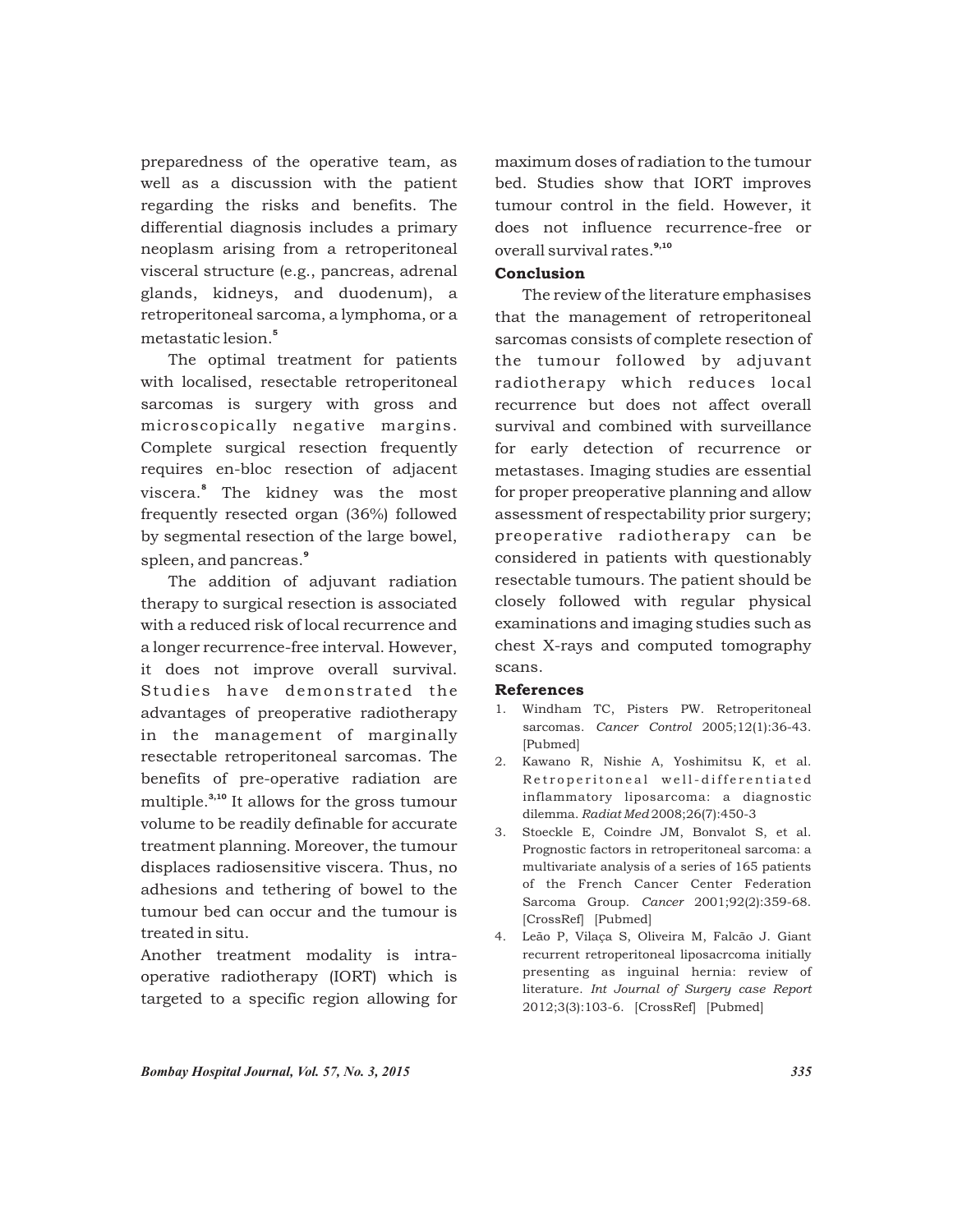preparedness of the operative team, as well as a discussion with the patient regarding the risks and benefits. The differential diagnosis includes a primary neoplasm arising from a retroperitoneal visceral structure (e.g., pancreas, adrenal glands, kidneys, and duodenum), a retroperitoneal sarcoma, a lymphoma, or a metastatic lesion<sup>5</sup>

The optimal treatment for patients with localised, resectable retroperitoneal sarcomas is surgery with gross and microscopically negative margins. Complete surgical resection frequently requires en-bloc resection of adjacent viscera.<sup>8</sup> The kidney was the most frequently resected organ (36%) followed by segmental resection of the large bowel, 9 spleen, and pancreas.

The addition of adjuvant radiation therapy to surgical resection is associated with a reduced risk of local recurrence and a longer recurrence-free interval. However, it does not improve overall survival. Studies have demonstrated the advantages of preoperative radiotherapy in the management of marginally resectable retroperitoneal sarcomas. The benefits of pre-operative radiation are multiple.<sup>3,10</sup> It allows for the gross tumour volume to be readily definable for accurate treatment planning. Moreover, the tumour displaces radiosensitive viscera. Thus, no adhesions and tethering of bowel to the tumour bed can occur and the tumour is treated in situ.

Another treatment modality is intraoperative radiotherapy (IORT) which is targeted to a specific region allowing for maximum doses of radiation to the tumour bed. Studies show that IORT improves tumour control in the field. However, it does not influence recurrence-free or overall survival rates.<sup>9,10</sup>

# Conclusion

The review of the literature emphasises that the management of retroperitoneal sarcomas consists of complete resection of the tumour followed by adjuvant radiotherapy which reduces local recurrence but does not affect overall survival and combined with surveillance for early detection of recurrence or metastases. Imaging studies are essential for proper preoperative planning and allow assessment of respectability prior surgery; preoperative radiotherapy can be considered in patients with questionably resectable tumours. The patient should be closely followed with regular physical examinations and imaging studies such as chest X-rays and computed tomography scans.

### References

- 1. Windham TC, Pisters PW. Retroperitoneal sarcomas. *Cancer Control* 2005;12(1):36-43. [Pubmed]
- 2. Kawano R, Nishie A, Yoshimitsu K, et al. Retroperitoneal well-differentiated inflammatory liposarcoma: a diagnostic dilemma. *Radiat Med* 2008;26(7):450-3
- 3. Stoeckle E, Coindre JM, Bonvalot S, et al. Prognostic factors in retroperitoneal sarcoma: a multivariate analysis of a series of 165 patients of the French Cancer Center Federation Sarcoma Group. *Cancer* 2001;92(2):359-68. [CrossRef] [Pubmed]
- 4. Leão P, Vilaça S, Oliveira M, Falcão J. Giant recurrent retroperitoneal liposacrcoma initially presenting as inguinal hernia: review of literature. *Int Journal of Surgery case Report* 2012;3(3):103-6. [CrossRef] [Pubmed]